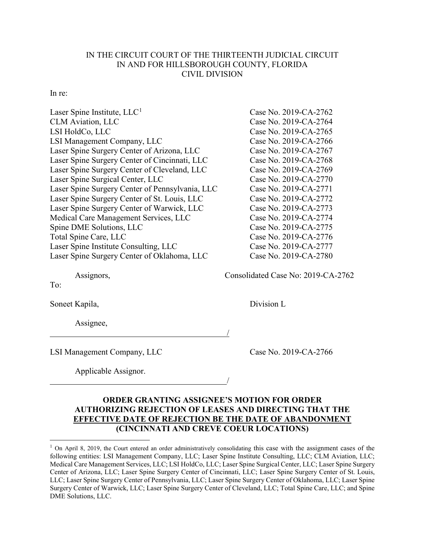## IN THE CIRCUIT COURT OF THE THIRTEENTH JUDICIAL CIRCUIT IN AND FOR HILLSBOROUGH COUNTY, FLORIDA CIVIL DIVISION

## In re:

| Laser Spine Institute, $LLC1$                   | Case No. 2019-CA-2762 |
|-------------------------------------------------|-----------------------|
| <b>CLM</b> Aviation, LLC                        | Case No. 2019-CA-2764 |
| LSI HoldCo, LLC                                 | Case No. 2019-CA-2765 |
| LSI Management Company, LLC                     | Case No. 2019-CA-2766 |
| Laser Spine Surgery Center of Arizona, LLC      | Case No. 2019-CA-2767 |
| Laser Spine Surgery Center of Cincinnati, LLC   | Case No. 2019-CA-2768 |
| Laser Spine Surgery Center of Cleveland, LLC    | Case No. 2019-CA-2769 |
| Laser Spine Surgical Center, LLC                | Case No. 2019-CA-2770 |
| Laser Spine Surgery Center of Pennsylvania, LLC | Case No. 2019-CA-2771 |
| Laser Spine Surgery Center of St. Louis, LLC    | Case No. 2019-CA-2772 |
| Laser Spine Surgery Center of Warwick, LLC      | Case No. 2019-CA-2773 |
| Medical Care Management Services, LLC           | Case No. 2019-CA-2774 |
| Spine DME Solutions, LLC                        | Case No. 2019-CA-2775 |
| Total Spine Care, LLC                           | Case No. 2019-CA-2776 |
| Laser Spine Institute Consulting, LLC           | Case No. 2019-CA-2777 |
| Laser Spine Surgery Center of Oklahoma, LLC     | Case No. 2019-CA-2780 |
|                                                 |                       |

To:

Soneet Kapila, Division L

Assignee,

LSI Management Company, LLC Case No. 2019-CA-2766

Applicable Assignor.

Assignors, Consolidated Case No: 2019-CA-2762

## **ORDER GRANTING ASSIGNEE'S MOTION FOR ORDER AUTHORIZING REJECTION OF LEASES AND DIRECTING THAT THE EFFECTIVE DATE OF REJECTION BE THE DATE OF ABANDONMENT (CINCINNATI AND CREVE COEUR LOCATIONS)**

/

/

<sup>&</sup>lt;sup>1</sup> On April 8, 2019, the Court entered an order administratively consolidating this case with the assignment cases of the following entities: LSI Management Company, LLC; Laser Spine Institute Consulting, LLC; CLM Aviation, LLC; Medical Care Management Services, LLC; LSI HoldCo, LLC; Laser Spine Surgical Center, LLC; Laser Spine Surgery Center of Arizona, LLC; Laser Spine Surgery Center of Cincinnati, LLC; Laser Spine Surgery Center of St. Louis, LLC; Laser Spine Surgery Center of Pennsylvania, LLC; Laser Spine Surgery Center of Oklahoma, LLC; Laser Spine Surgery Center of Warwick, LLC; Laser Spine Surgery Center of Cleveland, LLC; Total Spine Care, LLC; and Spine DME Solutions, LLC.